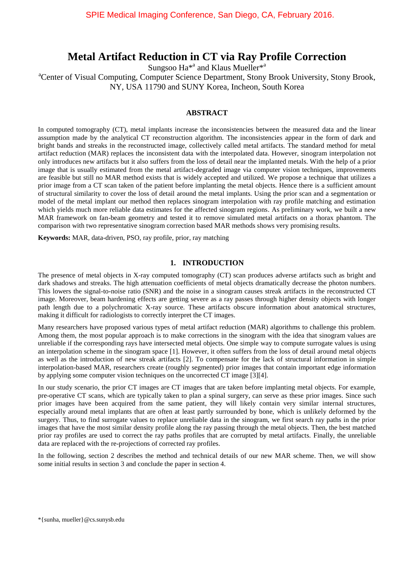# **Metal Artifact Reduction in CT via Ray Profile Correction**

Sungsoo Ha<sup>\*a</sup> and Klaus Mueller<sup>\*a</sup>

<sup>a</sup>Center of Visual Computing, Computer Science Department, Stony Brook University, Stony Brook, NY, USA 11790 and SUNY Korea, Incheon, South Korea

# **ABSTRACT**

In computed tomography (CT), metal implants increase the inconsistencies between the measured data and the linear assumption made by the analytical CT reconstruction algorithm. The inconsistencies appear in the form of dark and bright bands and streaks in the reconstructed image, collectively called metal artifacts. The standard method for metal artifact reduction (MAR) replaces the inconsistent data with the interpolated data. However, sinogram interpolation not only introduces new artifacts but it also suffers from the loss of detail near the implanted metals. With the help of a prior image that is usually estimated from the metal artifact-degraded image via computer vision techniques, improvements are feasible but still no MAR method exists that is widely accepted and utilized. We propose a technique that utilizes a prior image from a CT scan taken of the patient before implanting the metal objects. Hence there is a sufficient amount of structural similarity to cover the loss of detail around the metal implants. Using the prior scan and a segmentation or model of the metal implant our method then replaces sinogram interpolation with ray profile matching and estimation which yields much more reliable data estimates for the affected sinogram regions. As preliminary work, we built a new MAR framework on fan-beam geometry and tested it to remove simulated metal artifacts on a thorax phantom. The comparison with two representative sinogram correction based MAR methods shows very promising results.

**Keywords:** MAR, data-driven, PSO, ray profile, prior, ray matching

# **1. INTRODUCTION**

The presence of metal objects in X-ray computed tomography (CT) scan produces adverse artifacts such as bright and dark shadows and streaks. The high attenuation coefficients of metal objects dramatically decrease the photon numbers. This lowers the signal-to-noise ratio (SNR) and the noise in a sinogram causes streak artifacts in the reconstructed CT image. Moreover, beam hardening effects are getting severe as a ray passes through higher density objects with longer path length due to a polychromatic X-ray source. These artifacts obscure information about anatomical structures, making it difficult for radiologists to correctly interpret the CT images.

Many researchers have proposed various types of metal artifact reduction (MAR) algorithms to challenge this problem. Among them, the most popular approach is to make corrections in the sinogram with the idea that sinogram values are unreliable if the corresponding rays have intersected metal objects. One simple way to compute surrogate values is using an interpolation scheme in the sinogram space [1]. However, it often suffers from the loss of detail around metal objects as well as the introduction of new streak artifacts [2]. To compensate for the lack of structural information in simple interpolation-based MAR, researchers create (roughly segmented) prior images that contain important edge information by applying some computer vision techniques on the uncorrected CT image [3][4].

In our study scenario, the prior CT images are CT images that are taken before implanting metal objects. For example, pre-operative CT scans, which are typically taken to plan a spinal surgery, can serve as these prior images. Since such prior images have been acquired from the same patient, they will likely contain very similar internal structures, especially around metal implants that are often at least partly surrounded by bone, which is unlikely deformed by the surgery. Thus, to find surrogate values to replace unreliable data in the sinogram, we first search ray paths in the prior images that have the most similar density profile along the ray passing through the metal objects. Then, the best matched prior ray profiles are used to correct the ray paths profiles that are corrupted by metal artifacts. Finally, the unreliable data are replaced with the re-projections of corrected ray profiles.

In the following, section 2 describes the method and technical details of our new MAR scheme. Then, we will show some initial results in section 3 and conclude the paper in section 4.

\*{sunha, mueller}@cs.sunysb.edu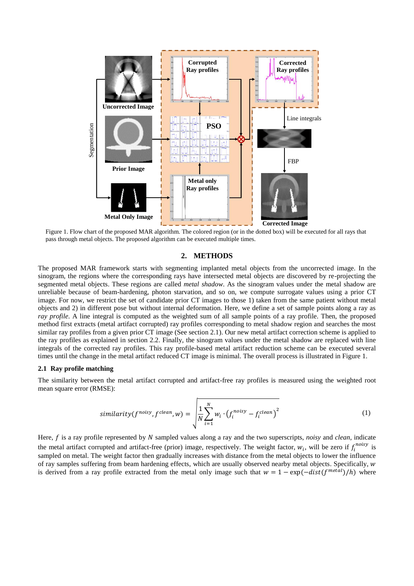

Figure 1. Flow chart of the proposed MAR algorithm. The colored region (or in the dotted box) will be executed for all rays that

#### **2. METHODS**

The proposed MAR framework starts with segmenting implanted metal objects from the uncorrected image. In the sinogram, the regions where the corresponding rays have intersected metal objects are discovered by re-projecting the segmented metal objects. These regions are called *metal shadow*. As the sinogram values under the metal shadow are unreliable because of beam-hardening, photon starvation, and so on, we compute surrogate values using a prior CT image. For now, we restrict the set of candidate prior CT images to those 1) taken from the same patient without metal objects and 2) in different pose but without internal deformation. Here, we define a set of sample points along a ray as *ray profile*. A line integral is computed as the weighted sum of all sample points of a ray profile. Then, the proposed method first extracts (metal artifact corrupted) ray profiles corresponding to metal shadow region and searches the most similar ray profiles from a given prior CT image (See section 2.1). Our new metal artifact correction scheme is applied to the ray profiles as explained in section 2.2. Finally, the sinogram values under the metal shadow are replaced with line integrals of the corrected ray profiles. This ray profile-based metal artifact reduction scheme can be executed several times until the change in the metal artifact reduced CT image is minimal. The overall process is illustrated in Figure 1.

#### **2.1 Ray profile matching**

The similarity between the metal artifact corrupted and artifact-free ray profiles is measured using the weighted root mean square error (RMSE):

$$
similarity(f^{noisy}, f^{clean}, w) = \sqrt{\frac{1}{N} \sum_{i=1}^{N} w_i \cdot (f_i^{noisy} - f_i^{clean})^2}
$$
 (1)

Here, f is a ray profile represented by N sampled values along a ray and the two superscripts, *noisy* and *clean*, indicate the metal artifact corrupted and artifact-free (prior) image, respectively. The weight factor,  $w_i$ , will be zero if  $f_i^{noisy}$  is sampled on metal. The weight factor then gradually increases with distance from the metal objects to lower the influence of ray samples suffering from beam hardening effects, which are usually observed nearby metal objects. Specifically, w is derived from a ray profile extracted from the metal only image such that  $w = 1 - \exp(-\frac{dist(f^{metal})}{h})$  where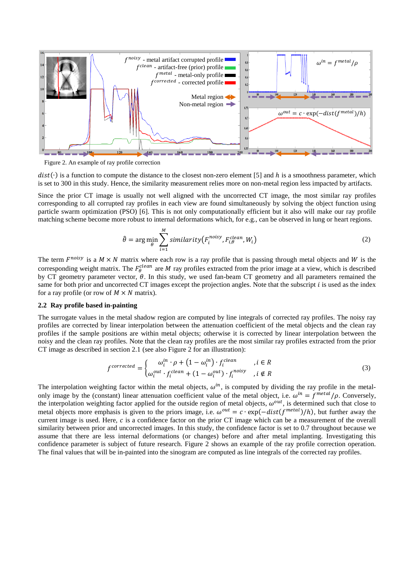

Figure 2. An example of ray profile correction

 $dist(\cdot)$  is a function to compute the distance to the closest non-zero element [5] and h is a smoothness parameter, which is set to 300 in this study. Hence, the similarity measurement relies more on non-metal region less impacted by artifacts.

Since the prior CT image is usually not well aligned with the uncorrected CT image, the most similar ray profiles corresponding to all corrupted ray profiles in each view are found simultaneously by solving the object function using particle swarm optimization (PSO) [6]. This is not only computationally efficient but it also will make our ray profile matching scheme become more robust to internal deformations which, for e.g., can be observed in lung or heart regions.

$$
\hat{\theta} = \arg\min_{\theta} \sum_{i=1}^{M} similarity(F_i^{noisy}, F_{i,\theta}^{clean}, W_i)
$$
\n(2)

The term  $F^{noisy}$  is a  $M \times N$  matrix where each row is a ray profile that is passing through metal objects and W is the corresponding weight matrix. The  $F_\theta^{clean}$  are M ray profiles extracted from the prior image at a view, which is described by CT geometry parameter vector,  $\theta$ . In this study, we used fan-beam CT geometry and all parameters remained the same for both prior and uncorrected CT images except the projection angles. Note that the subscript *i* is used as the index for a ray profile (or row of  $M \times N$  matrix).

#### **2.2 Ray profile based in-painting**

The surrogate values in the metal shadow region are computed by line integrals of corrected ray profiles. The noisy ray profiles are corrected by linear interpolation between the attenuation coefficient of the metal objects and the clean ray profiles if the sample positions are within metal objects; otherwise it is corrected by linear interpolation between the noisy and the clean ray profiles. Note that the clean ray profiles are the most similar ray profiles extracted from the prior CT image as described in section 2.1 (see also Figure 2 for an illustration):

$$
f^{corrected} = \begin{cases} \omega_i^{in} \cdot \rho + (1 - \omega_i^{in}) \cdot f_i^{clean} & i \in R \\ \omega_i^{out} \cdot f_i^{clean} + (1 - \omega_i^{out}) \cdot f_i^{noisy} & i \notin R \end{cases} \tag{3}
$$

The interpolation weighting factor within the metal objects,  $\omega^{in}$ , is computed by dividing the ray profile in the metalonly image by the (constant) linear attenuation coefficient value of the metal object, i.e.  $\omega^{in} = f^{metal}/\rho$ . Conversely, the interpolation weighting factor applied for the outside region of metal objects,  $\omega^{out}$ , is determined such that close to metal objects more emphasis is given to the priors image, i.e.  $\omega^{out} = c \cdot \exp(-\text{dist}(f^{metal})/h)$ , but further away the current image is used. Here, c is a confidence factor on the prior CT image which can be a measurement of the overall similarity between prior and uncorrected images. In this study, the confidence factor is set to 0.7 throughout because we assume that there are less internal deformations (or changes) before and after metal implanting. Investigating this confidence parameter is subject of future research. Figure 2 shows an example of the ray profile correction operation. The final values that will be in-painted into the sinogram are computed as line integrals of the corrected ray profiles.